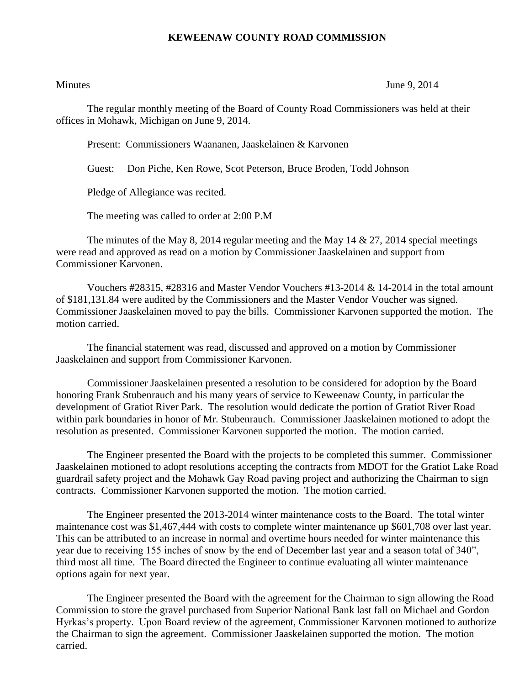## **KEWEENAW COUNTY ROAD COMMISSION**

Minutes June 9, 2014

The regular monthly meeting of the Board of County Road Commissioners was held at their offices in Mohawk, Michigan on June 9, 2014.

Present: Commissioners Waananen, Jaaskelainen & Karvonen

Guest: Don Piche, Ken Rowe, Scot Peterson, Bruce Broden, Todd Johnson

Pledge of Allegiance was recited.

The meeting was called to order at 2:00 P.M

The minutes of the May 8, 2014 regular meeting and the May 14  $\&$  27, 2014 special meetings were read and approved as read on a motion by Commissioner Jaaskelainen and support from Commissioner Karvonen.

Vouchers  $\#28315$ ,  $\#28316$  and Master Vendor Vouchers  $\#13$ -2014 & 14-2014 in the total amount of \$181,131.84 were audited by the Commissioners and the Master Vendor Voucher was signed. Commissioner Jaaskelainen moved to pay the bills. Commissioner Karvonen supported the motion. The motion carried.

The financial statement was read, discussed and approved on a motion by Commissioner Jaaskelainen and support from Commissioner Karvonen.

Commissioner Jaaskelainen presented a resolution to be considered for adoption by the Board honoring Frank Stubenrauch and his many years of service to Keweenaw County, in particular the development of Gratiot River Park. The resolution would dedicate the portion of Gratiot River Road within park boundaries in honor of Mr. Stubenrauch. Commissioner Jaaskelainen motioned to adopt the resolution as presented. Commissioner Karvonen supported the motion. The motion carried.

The Engineer presented the Board with the projects to be completed this summer. Commissioner Jaaskelainen motioned to adopt resolutions accepting the contracts from MDOT for the Gratiot Lake Road guardrail safety project and the Mohawk Gay Road paving project and authorizing the Chairman to sign contracts. Commissioner Karvonen supported the motion. The motion carried.

The Engineer presented the 2013-2014 winter maintenance costs to the Board. The total winter maintenance cost was \$1,467,444 with costs to complete winter maintenance up \$601,708 over last year. This can be attributed to an increase in normal and overtime hours needed for winter maintenance this year due to receiving 155 inches of snow by the end of December last year and a season total of 340", third most all time. The Board directed the Engineer to continue evaluating all winter maintenance options again for next year.

The Engineer presented the Board with the agreement for the Chairman to sign allowing the Road Commission to store the gravel purchased from Superior National Bank last fall on Michael and Gordon Hyrkas's property. Upon Board review of the agreement, Commissioner Karvonen motioned to authorize the Chairman to sign the agreement. Commissioner Jaaskelainen supported the motion. The motion carried.